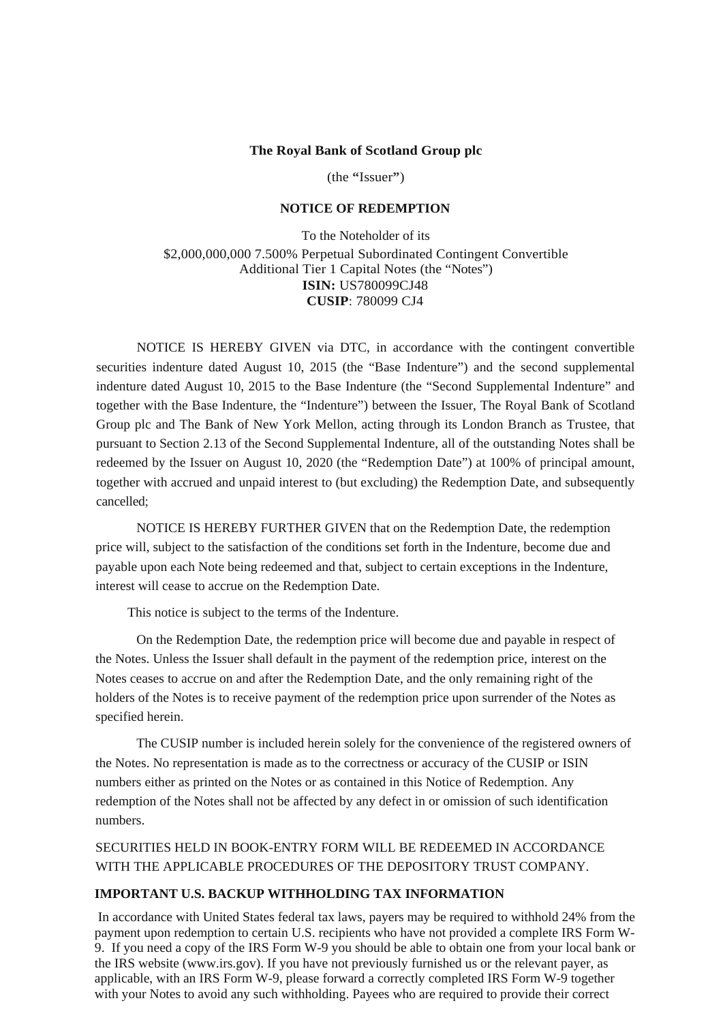#### **The Royal Bank of Scotland Group plc**

(the **"**Issuer**"**)

## **NOTICE OF REDEMPTION**

To the Noteholder of its \$2,000,000,000 7.500% Perpetual Subordinated Contingent Convertible Additional Tier 1 Capital Notes (the "Notes") **ISIN:** US780099CJ48 **CUSIP**: 780099 CJ4

NOTICE IS HEREBY GIVEN via DTC, in accordance with the contingent convertible securities indenture dated August 10, 2015 (the "Base Indenture") and the second supplemental indenture dated August 10, 2015 to the Base Indenture (the "Second Supplemental Indenture" and together with the Base Indenture, the "Indenture") between the Issuer, The Royal Bank of Scotland Group plc and The Bank of New York Mellon, acting through its London Branch as Trustee, that pursuant to Section 2.13 of the Second Supplemental Indenture, all of the outstanding Notes shall be redeemed by the Issuer on August 10, 2020 (the "Redemption Date") at 100% of principal amount, together with accrued and unpaid interest to (but excluding) the Redemption Date, and subsequently cancelled;

NOTICE IS HEREBY FURTHER GIVEN that on the Redemption Date, the redemption price will, subject to the satisfaction of the conditions set forth in the Indenture, become due and payable upon each Note being redeemed and that, subject to certain exceptions in the Indenture, interest will cease to accrue on the Redemption Date.

This notice is subject to the terms of the Indenture.

On the Redemption Date, the redemption price will become due and payable in respect of the Notes. Unless the Issuer shall default in the payment of the redemption price, interest on the Notes ceases to accrue on and after the Redemption Date, and the only remaining right of the holders of the Notes is to receive payment of the redemption price upon surrender of the Notes as specified herein.

The CUSIP number is included herein solely for the convenience of the registered owners of the Notes. No representation is made as to the correctness or accuracy of the CUSIP or ISIN numbers either as printed on the Notes or as contained in this Notice of Redemption. Any redemption of the Notes shall not be affected by any defect in or omission of such identification numbers.

SECURITIES HELD IN BOOK-ENTRY FORM WILL BE REDEEMED IN ACCORDANCE WITH THE APPLICABLE PROCEDURES OF THE DEPOSITORY TRUST COMPANY.

## **IMPORTANT U.S. BACKUP WITHHOLDING TAX INFORMATION**

 In accordance with United States federal tax laws, payers may be required to withhold 24% from the payment upon redemption to certain U.S. recipients who have not provided a complete IRS Form W-9. If you need a copy of the IRS Form W-9 you should be able to obtain one from your local bank or the IRS website (www.irs.gov). If you have not previously furnished us or the relevant payer, as applicable, with an IRS Form W-9, please forward a correctly completed IRS Form W-9 together with your Notes to avoid any such withholding. Payees who are required to provide their correct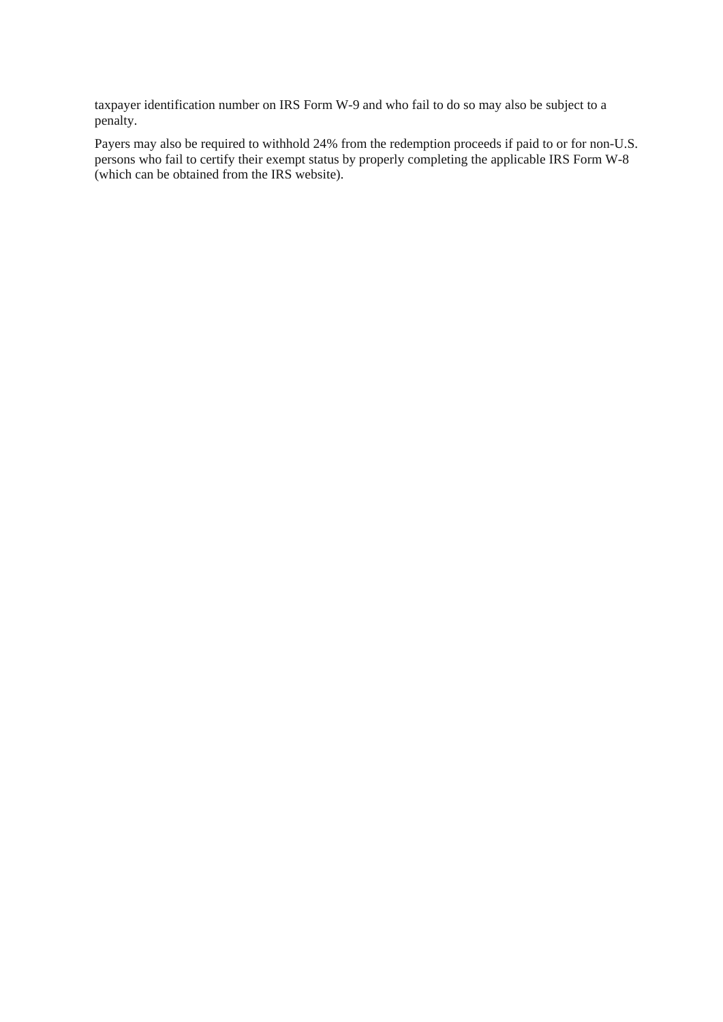taxpayer identification number on IRS Form W-9 and who fail to do so may also be subject to a penalty.

Payers may also be required to withhold 24% from the redemption proceeds if paid to or for non-U.S. persons who fail to certify their exempt status by properly completing the applicable IRS Form W-8 (which can be obtained from the IRS website).